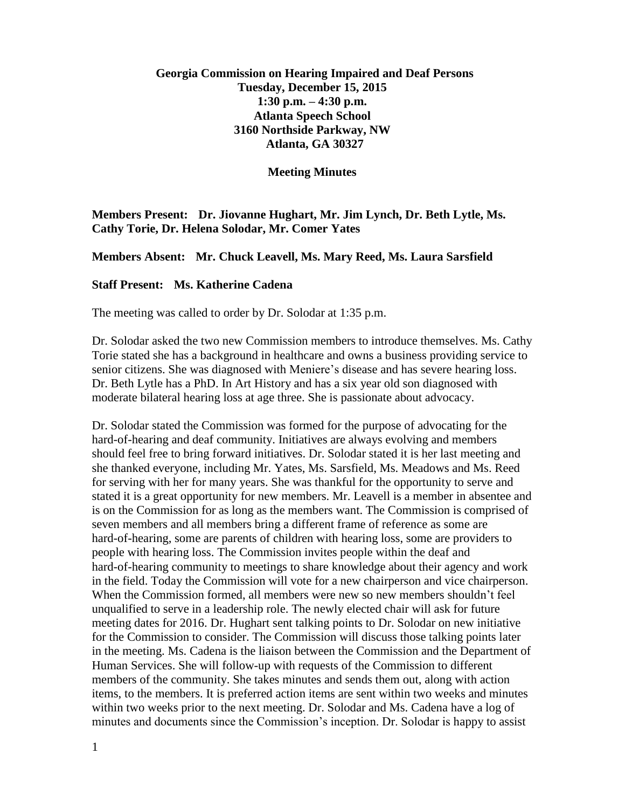## **Georgia Commission on Hearing Impaired and Deaf Persons Tuesday, December 15, 2015 1:30 p.m. – 4:30 p.m. Atlanta Speech School 3160 Northside Parkway, NW Atlanta, GA 30327**

**Meeting Minutes**

**Members Present: Dr. Jiovanne Hughart, Mr. Jim Lynch, Dr. Beth Lytle, Ms. Cathy Torie, Dr. Helena Solodar, Mr. Comer Yates**

**Members Absent: Mr. Chuck Leavell, Ms. Mary Reed, Ms. Laura Sarsfield**

## **Staff Present: Ms. Katherine Cadena**

The meeting was called to order by Dr. Solodar at 1:35 p.m.

Dr. Solodar asked the two new Commission members to introduce themselves. Ms. Cathy Torie stated she has a background in healthcare and owns a business providing service to senior citizens. She was diagnosed with Meniere's disease and has severe hearing loss. Dr. Beth Lytle has a PhD. In Art History and has a six year old son diagnosed with moderate bilateral hearing loss at age three. She is passionate about advocacy.

Dr. Solodar stated the Commission was formed for the purpose of advocating for the hard-of-hearing and deaf community. Initiatives are always evolving and members should feel free to bring forward initiatives. Dr. Solodar stated it is her last meeting and she thanked everyone, including Mr. Yates, Ms. Sarsfield, Ms. Meadows and Ms. Reed for serving with her for many years. She was thankful for the opportunity to serve and stated it is a great opportunity for new members. Mr. Leavell is a member in absentee and is on the Commission for as long as the members want. The Commission is comprised of seven members and all members bring a different frame of reference as some are hard-of-hearing, some are parents of children with hearing loss, some are providers to people with hearing loss. The Commission invites people within the deaf and hard-of-hearing community to meetings to share knowledge about their agency and work in the field. Today the Commission will vote for a new chairperson and vice chairperson. When the Commission formed, all members were new so new members shouldn't feel unqualified to serve in a leadership role. The newly elected chair will ask for future meeting dates for 2016. Dr. Hughart sent talking points to Dr. Solodar on new initiative for the Commission to consider. The Commission will discuss those talking points later in the meeting. Ms. Cadena is the liaison between the Commission and the Department of Human Services. She will follow-up with requests of the Commission to different members of the community. She takes minutes and sends them out, along with action items, to the members. It is preferred action items are sent within two weeks and minutes within two weeks prior to the next meeting. Dr. Solodar and Ms. Cadena have a log of minutes and documents since the Commission's inception. Dr. Solodar is happy to assist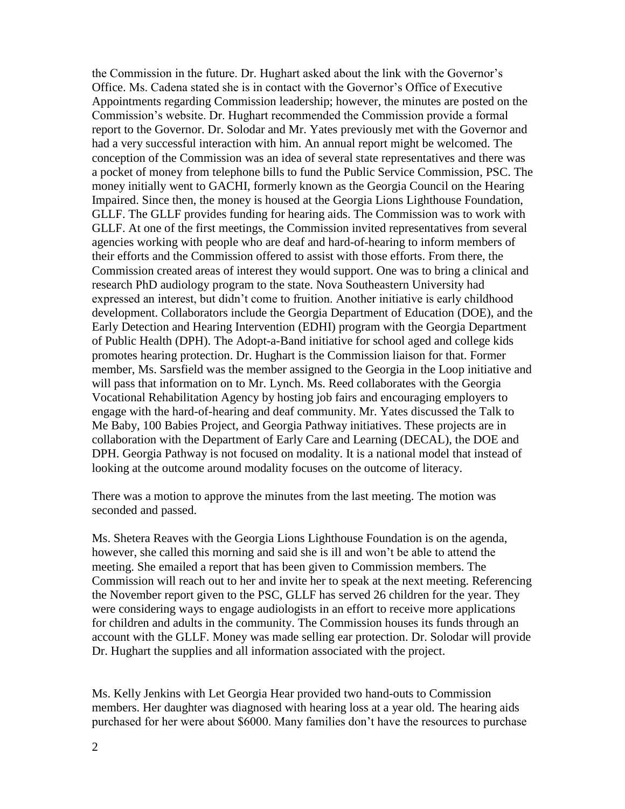the Commission in the future. Dr. Hughart asked about the link with the Governor's Office. Ms. Cadena stated she is in contact with the Governor's Office of Executive Appointments regarding Commission leadership; however, the minutes are posted on the Commission's website. Dr. Hughart recommended the Commission provide a formal report to the Governor. Dr. Solodar and Mr. Yates previously met with the Governor and had a very successful interaction with him. An annual report might be welcomed. The conception of the Commission was an idea of several state representatives and there was a pocket of money from telephone bills to fund the Public Service Commission, PSC. The money initially went to GACHI, formerly known as the Georgia Council on the Hearing Impaired. Since then, the money is housed at the Georgia Lions Lighthouse Foundation, GLLF. The GLLF provides funding for hearing aids. The Commission was to work with GLLF. At one of the first meetings, the Commission invited representatives from several agencies working with people who are deaf and hard-of-hearing to inform members of their efforts and the Commission offered to assist with those efforts. From there, the Commission created areas of interest they would support. One was to bring a clinical and research PhD audiology program to the state. Nova Southeastern University had expressed an interest, but didn't come to fruition. Another initiative is early childhood development. Collaborators include the Georgia Department of Education (DOE), and the Early Detection and Hearing Intervention (EDHI) program with the Georgia Department of Public Health (DPH). The Adopt-a-Band initiative for school aged and college kids promotes hearing protection. Dr. Hughart is the Commission liaison for that. Former member, Ms. Sarsfield was the member assigned to the Georgia in the Loop initiative and will pass that information on to Mr. Lynch. Ms. Reed collaborates with the Georgia Vocational Rehabilitation Agency by hosting job fairs and encouraging employers to engage with the hard-of-hearing and deaf community. Mr. Yates discussed the Talk to Me Baby, 100 Babies Project, and Georgia Pathway initiatives. These projects are in collaboration with the Department of Early Care and Learning (DECAL), the DOE and DPH. Georgia Pathway is not focused on modality. It is a national model that instead of looking at the outcome around modality focuses on the outcome of literacy.

There was a motion to approve the minutes from the last meeting. The motion was seconded and passed.

Ms. Shetera Reaves with the Georgia Lions Lighthouse Foundation is on the agenda, however, she called this morning and said she is ill and won't be able to attend the meeting. She emailed a report that has been given to Commission members. The Commission will reach out to her and invite her to speak at the next meeting. Referencing the November report given to the PSC, GLLF has served 26 children for the year. They were considering ways to engage audiologists in an effort to receive more applications for children and adults in the community. The Commission houses its funds through an account with the GLLF. Money was made selling ear protection. Dr. Solodar will provide Dr. Hughart the supplies and all information associated with the project.

Ms. Kelly Jenkins with Let Georgia Hear provided two hand-outs to Commission members. Her daughter was diagnosed with hearing loss at a year old. The hearing aids purchased for her were about \$6000. Many families don't have the resources to purchase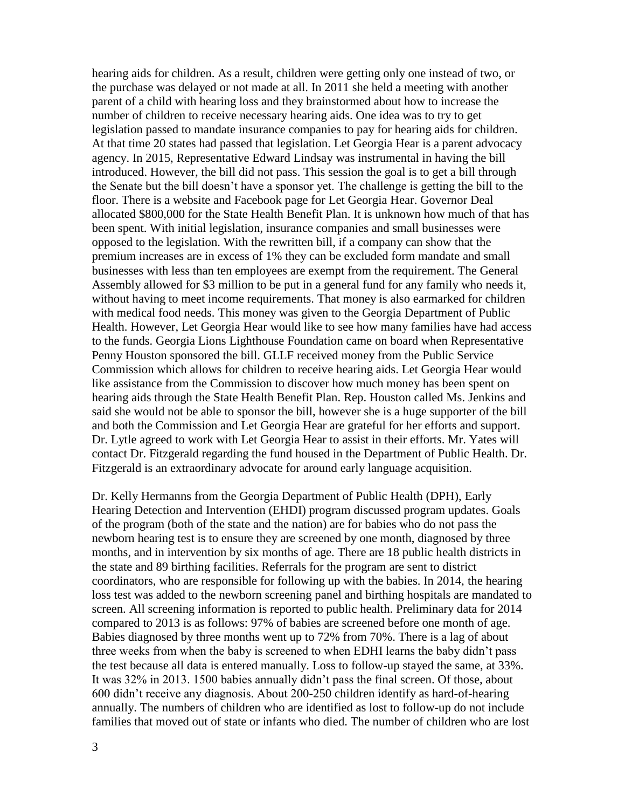hearing aids for children. As a result, children were getting only one instead of two, or the purchase was delayed or not made at all. In 2011 she held a meeting with another parent of a child with hearing loss and they brainstormed about how to increase the number of children to receive necessary hearing aids. One idea was to try to get legislation passed to mandate insurance companies to pay for hearing aids for children. At that time 20 states had passed that legislation. Let Georgia Hear is a parent advocacy agency. In 2015, Representative Edward Lindsay was instrumental in having the bill introduced. However, the bill did not pass. This session the goal is to get a bill through the Senate but the bill doesn't have a sponsor yet. The challenge is getting the bill to the floor. There is a website and Facebook page for Let Georgia Hear. Governor Deal allocated \$800,000 for the State Health Benefit Plan. It is unknown how much of that has been spent. With initial legislation, insurance companies and small businesses were opposed to the legislation. With the rewritten bill, if a company can show that the premium increases are in excess of 1% they can be excluded form mandate and small businesses with less than ten employees are exempt from the requirement. The General Assembly allowed for \$3 million to be put in a general fund for any family who needs it, without having to meet income requirements. That money is also earmarked for children with medical food needs. This money was given to the Georgia Department of Public Health. However, Let Georgia Hear would like to see how many families have had access to the funds. Georgia Lions Lighthouse Foundation came on board when Representative Penny Houston sponsored the bill. GLLF received money from the Public Service Commission which allows for children to receive hearing aids. Let Georgia Hear would like assistance from the Commission to discover how much money has been spent on hearing aids through the State Health Benefit Plan. Rep. Houston called Ms. Jenkins and said she would not be able to sponsor the bill, however she is a huge supporter of the bill and both the Commission and Let Georgia Hear are grateful for her efforts and support. Dr. Lytle agreed to work with Let Georgia Hear to assist in their efforts. Mr. Yates will contact Dr. Fitzgerald regarding the fund housed in the Department of Public Health. Dr. Fitzgerald is an extraordinary advocate for around early language acquisition.

Dr. Kelly Hermanns from the Georgia Department of Public Health (DPH), Early Hearing Detection and Intervention (EHDI) program discussed program updates. Goals of the program (both of the state and the nation) are for babies who do not pass the newborn hearing test is to ensure they are screened by one month, diagnosed by three months, and in intervention by six months of age. There are 18 public health districts in the state and 89 birthing facilities. Referrals for the program are sent to district coordinators, who are responsible for following up with the babies. In 2014, the hearing loss test was added to the newborn screening panel and birthing hospitals are mandated to screen. All screening information is reported to public health. Preliminary data for 2014 compared to 2013 is as follows: 97% of babies are screened before one month of age. Babies diagnosed by three months went up to 72% from 70%. There is a lag of about three weeks from when the baby is screened to when EDHI learns the baby didn't pass the test because all data is entered manually. Loss to follow-up stayed the same, at 33%. It was 32% in 2013. 1500 babies annually didn't pass the final screen. Of those, about 600 didn't receive any diagnosis. About 200-250 children identify as hard-of-hearing annually. The numbers of children who are identified as lost to follow-up do not include families that moved out of state or infants who died. The number of children who are lost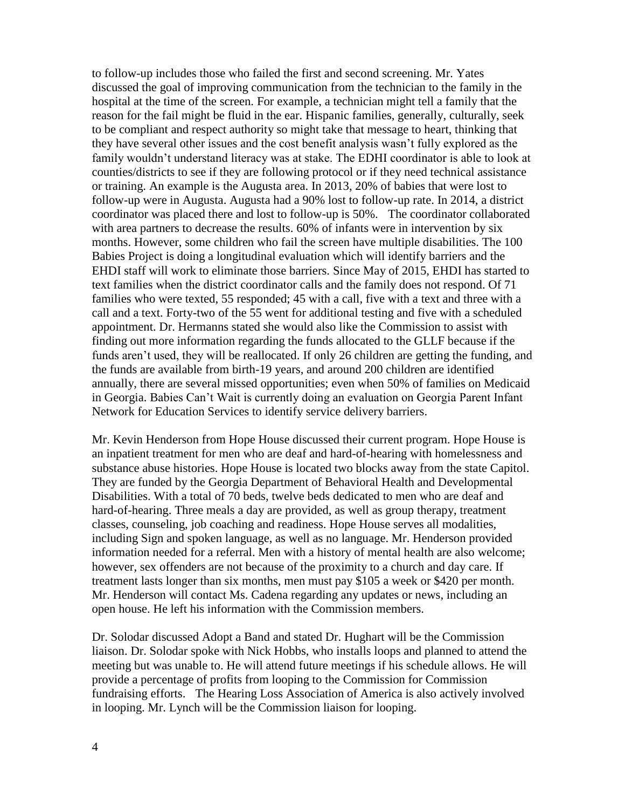to follow-up includes those who failed the first and second screening. Mr. Yates discussed the goal of improving communication from the technician to the family in the hospital at the time of the screen. For example, a technician might tell a family that the reason for the fail might be fluid in the ear. Hispanic families, generally, culturally, seek to be compliant and respect authority so might take that message to heart, thinking that they have several other issues and the cost benefit analysis wasn't fully explored as the family wouldn't understand literacy was at stake. The EDHI coordinator is able to look at counties/districts to see if they are following protocol or if they need technical assistance or training. An example is the Augusta area. In 2013, 20% of babies that were lost to follow-up were in Augusta. Augusta had a 90% lost to follow-up rate. In 2014, a district coordinator was placed there and lost to follow-up is 50%. The coordinator collaborated with area partners to decrease the results. 60% of infants were in intervention by six months. However, some children who fail the screen have multiple disabilities. The 100 Babies Project is doing a longitudinal evaluation which will identify barriers and the EHDI staff will work to eliminate those barriers. Since May of 2015, EHDI has started to text families when the district coordinator calls and the family does not respond. Of 71 families who were texted, 55 responded; 45 with a call, five with a text and three with a call and a text. Forty-two of the 55 went for additional testing and five with a scheduled appointment. Dr. Hermanns stated she would also like the Commission to assist with finding out more information regarding the funds allocated to the GLLF because if the funds aren't used, they will be reallocated. If only 26 children are getting the funding, and the funds are available from birth-19 years, and around 200 children are identified annually, there are several missed opportunities; even when 50% of families on Medicaid in Georgia. Babies Can't Wait is currently doing an evaluation on Georgia Parent Infant Network for Education Services to identify service delivery barriers.

Mr. Kevin Henderson from Hope House discussed their current program. Hope House is an inpatient treatment for men who are deaf and hard-of-hearing with homelessness and substance abuse histories. Hope House is located two blocks away from the state Capitol. They are funded by the Georgia Department of Behavioral Health and Developmental Disabilities. With a total of 70 beds, twelve beds dedicated to men who are deaf and hard-of-hearing. Three meals a day are provided, as well as group therapy, treatment classes, counseling, job coaching and readiness. Hope House serves all modalities, including Sign and spoken language, as well as no language. Mr. Henderson provided information needed for a referral. Men with a history of mental health are also welcome; however, sex offenders are not because of the proximity to a church and day care. If treatment lasts longer than six months, men must pay \$105 a week or \$420 per month. Mr. Henderson will contact Ms. Cadena regarding any updates or news, including an open house. He left his information with the Commission members.

Dr. Solodar discussed Adopt a Band and stated Dr. Hughart will be the Commission liaison. Dr. Solodar spoke with Nick Hobbs, who installs loops and planned to attend the meeting but was unable to. He will attend future meetings if his schedule allows. He will provide a percentage of profits from looping to the Commission for Commission fundraising efforts. The Hearing Loss Association of America is also actively involved in looping. Mr. Lynch will be the Commission liaison for looping.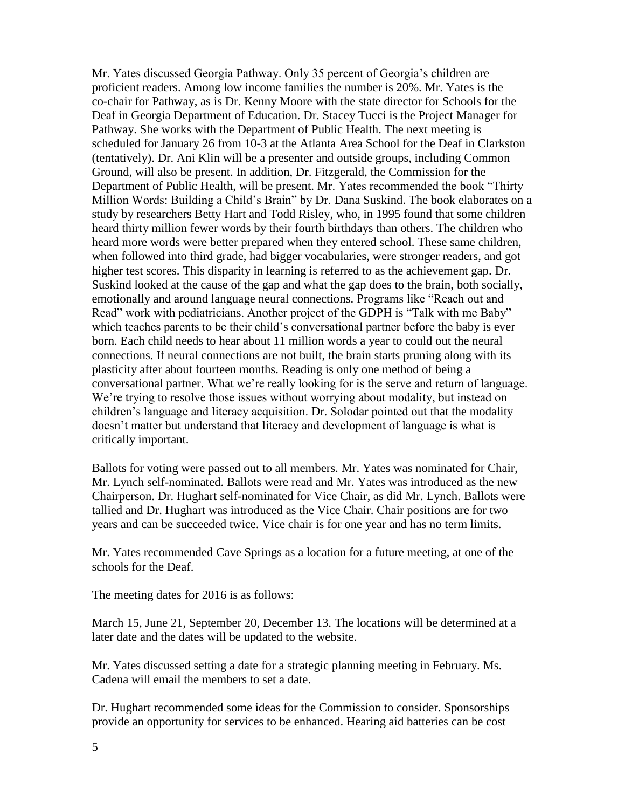Mr. Yates discussed Georgia Pathway. Only 35 percent of Georgia's children are proficient readers. Among low income families the number is 20%. Mr. Yates is the co-chair for Pathway, as is Dr. Kenny Moore with the state director for Schools for the Deaf in Georgia Department of Education. Dr. Stacey Tucci is the Project Manager for Pathway. She works with the Department of Public Health. The next meeting is scheduled for January 26 from 10-3 at the Atlanta Area School for the Deaf in Clarkston (tentatively). Dr. Ani Klin will be a presenter and outside groups, including Common Ground, will also be present. In addition, Dr. Fitzgerald, the Commission for the Department of Public Health, will be present. Mr. Yates recommended the book "Thirty Million Words: Building a Child's Brain" by Dr. Dana Suskind. The book elaborates on a study by researchers Betty Hart and Todd Risley, who, in 1995 found that some children heard thirty million fewer words by their fourth birthdays than others. The children who heard more words were better prepared when they entered school. These same children, when followed into third grade, had bigger vocabularies, were stronger readers, and got higher test scores. This disparity in learning is referred to as the achievement gap. Dr. Suskind looked at the cause of the gap and what the gap does to the brain, both socially, emotionally and around language neural connections. Programs like "Reach out and Read" work with pediatricians. Another project of the GDPH is "Talk with me Baby" which teaches parents to be their child's conversational partner before the baby is ever born. Each child needs to hear about 11 million words a year to could out the neural connections. If neural connections are not built, the brain starts pruning along with its plasticity after about fourteen months. Reading is only one method of being a conversational partner. What we're really looking for is the serve and return of language. We're trying to resolve those issues without worrying about modality, but instead on children's language and literacy acquisition. Dr. Solodar pointed out that the modality doesn't matter but understand that literacy and development of language is what is critically important.

Ballots for voting were passed out to all members. Mr. Yates was nominated for Chair, Mr. Lynch self-nominated. Ballots were read and Mr. Yates was introduced as the new Chairperson. Dr. Hughart self-nominated for Vice Chair, as did Mr. Lynch. Ballots were tallied and Dr. Hughart was introduced as the Vice Chair. Chair positions are for two years and can be succeeded twice. Vice chair is for one year and has no term limits.

Mr. Yates recommended Cave Springs as a location for a future meeting, at one of the schools for the Deaf.

The meeting dates for 2016 is as follows:

March 15, June 21, September 20, December 13. The locations will be determined at a later date and the dates will be updated to the website.

Mr. Yates discussed setting a date for a strategic planning meeting in February. Ms. Cadena will email the members to set a date.

Dr. Hughart recommended some ideas for the Commission to consider. Sponsorships provide an opportunity for services to be enhanced. Hearing aid batteries can be cost